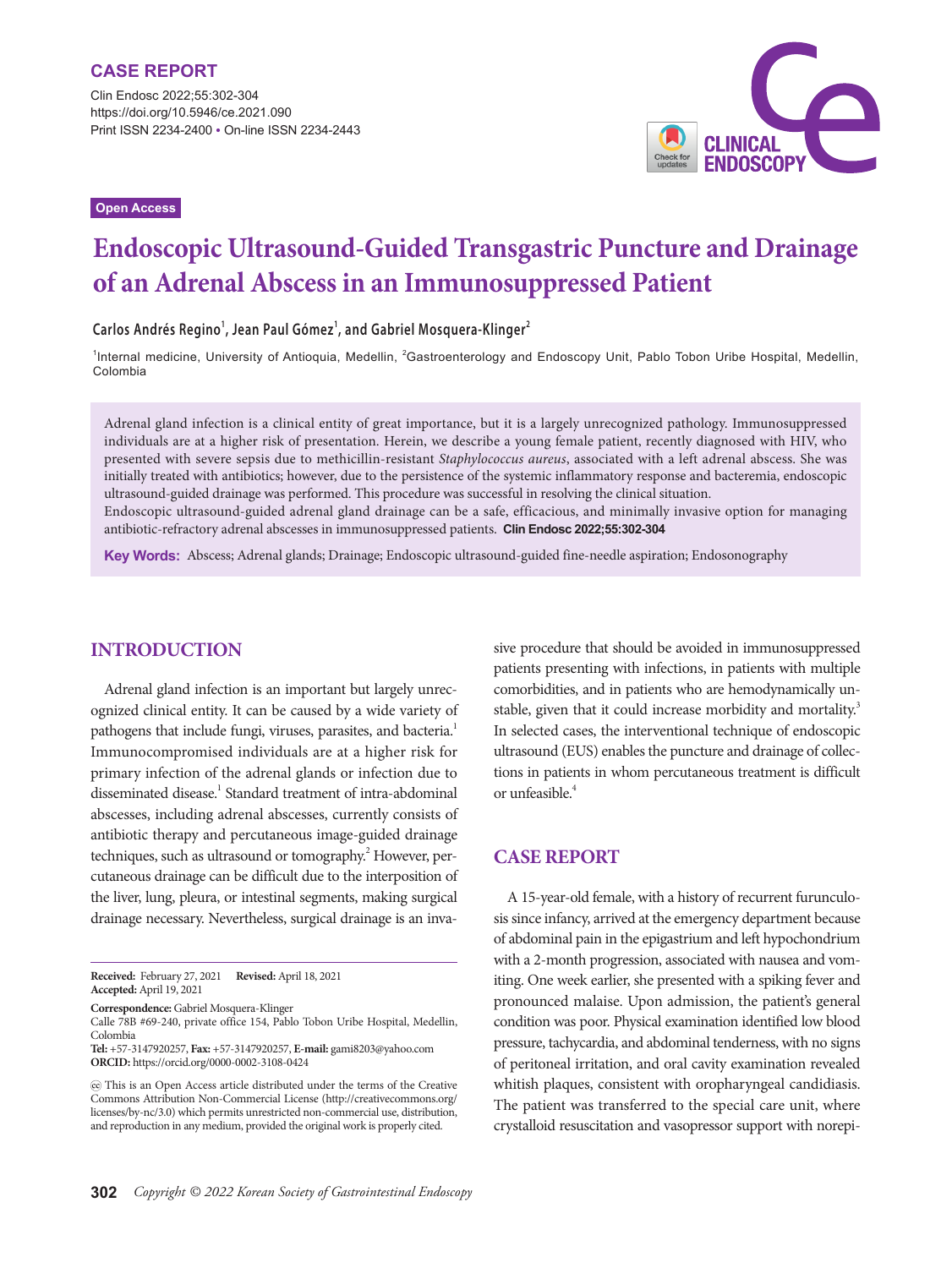**Open Access**



# **Endoscopic Ultrasound-Guided Transgastric Puncture and Drainage of an Adrenal Abscess in an Immunosuppressed Patient**

#### **Carlos Andrés Regino<sup>1</sup> , Jean Paul Gómez<sup>1</sup> , and Gabriel Mosquera-Klinger<sup>2</sup>**

<sup>1</sup>Internal medicine, University of Antioquia, Medellin, <sup>2</sup>Gastroenterology and Endoscopy Unit, Pablo Tobon Uribe Hospital, Medellin, Colombia

Adrenal gland infection is a clinical entity of great importance, but it is a largely unrecognized pathology. Immunosuppressed individuals are at a higher risk of presentation. Herein, we describe a young female patient, recently diagnosed with HIV, who presented with severe sepsis due to methicillin-resistant *Staphylococcus aureus*, associated with a left adrenal abscess. She was initially treated with antibiotics; however, due to the persistence of the systemic inflammatory response and bacteremia, endoscopic ultrasound-guided drainage was performed. This procedure was successful in resolving the clinical situation.

Endoscopic ultrasound-guided adrenal gland drainage can be a safe, efficacious, and minimally invasive option for managing antibiotic-refractory adrenal abscesses in immunosuppressed patients. **Clin Endosc 2022;55:302-304**

**Key Words:** Abscess; Adrenal glands; Drainage; Endoscopic ultrasound-guided fine-needle aspiration; Endosonography

# **INTRODUCTION**

Adrenal gland infection is an important but largely unrecognized clinical entity. It can be caused by a wide variety of pathogens that include fungi, viruses, parasites, and bacteria.<sup>1</sup> Immunocompromised individuals are at a higher risk for primary infection of the adrenal glands or infection due to disseminated disease.<sup>1</sup> Standard treatment of intra-abdominal abscesses, including adrenal abscesses, currently consists of antibiotic therapy and percutaneous image-guided drainage techniques, such as ultrasound or tomography.<sup>2</sup> However, percutaneous drainage can be difficult due to the interposition of the liver, lung, pleura, or intestinal segments, making surgical drainage necessary. Nevertheless, surgical drainage is an inva-

**Correspondence:** Gabriel Mosquera-Klinger

Calle 78B #69-240, private office 154, Pablo Tobon Uribe Hospital, Medellin, Colombia

**Tel:** +57-3147920257, **Fax:** +57-3147920257, **E-mail:** gami8203@yahoo.com **ORCID:** https://orcid.org/0000-0002-3108-0424

sive procedure that should be avoided in immunosuppressed patients presenting with infections, in patients with multiple comorbidities, and in patients who are hemodynamically unstable, given that it could increase morbidity and mortality.<sup>3</sup> In selected cases, the interventional technique of endoscopic ultrasound (EUS) enables the puncture and drainage of collections in patients in whom percutaneous treatment is difficult or unfeasible.<sup>4</sup>

### **CASE REPORT**

A 15-year-old female, with a history of recurrent furunculosis since infancy, arrived at the emergency department because of abdominal pain in the epigastrium and left hypochondrium with a 2-month progression, associated with nausea and vomiting. One week earlier, she presented with a spiking fever and pronounced malaise. Upon admission, the patient's general condition was poor. Physical examination identified low blood pressure, tachycardia, and abdominal tenderness, with no signs of peritoneal irritation, and oral cavity examination revealed whitish plaques, consistent with oropharyngeal candidiasis. The patient was transferred to the special care unit, where crystalloid resuscitation and vasopressor support with norepi-

**Received:** February 27, 2021 **Revised:** April 18, 2021 **Accepted:** April 19, 2021

This is an Open Access article distributed under the terms of the Creative Commons Attribution Non-Commercial License (http://creativecommons.org/ licenses/by-nc/3.0) which permits unrestricted non-commercial use, distribution, and reproduction in any medium, provided the original work is properly cited.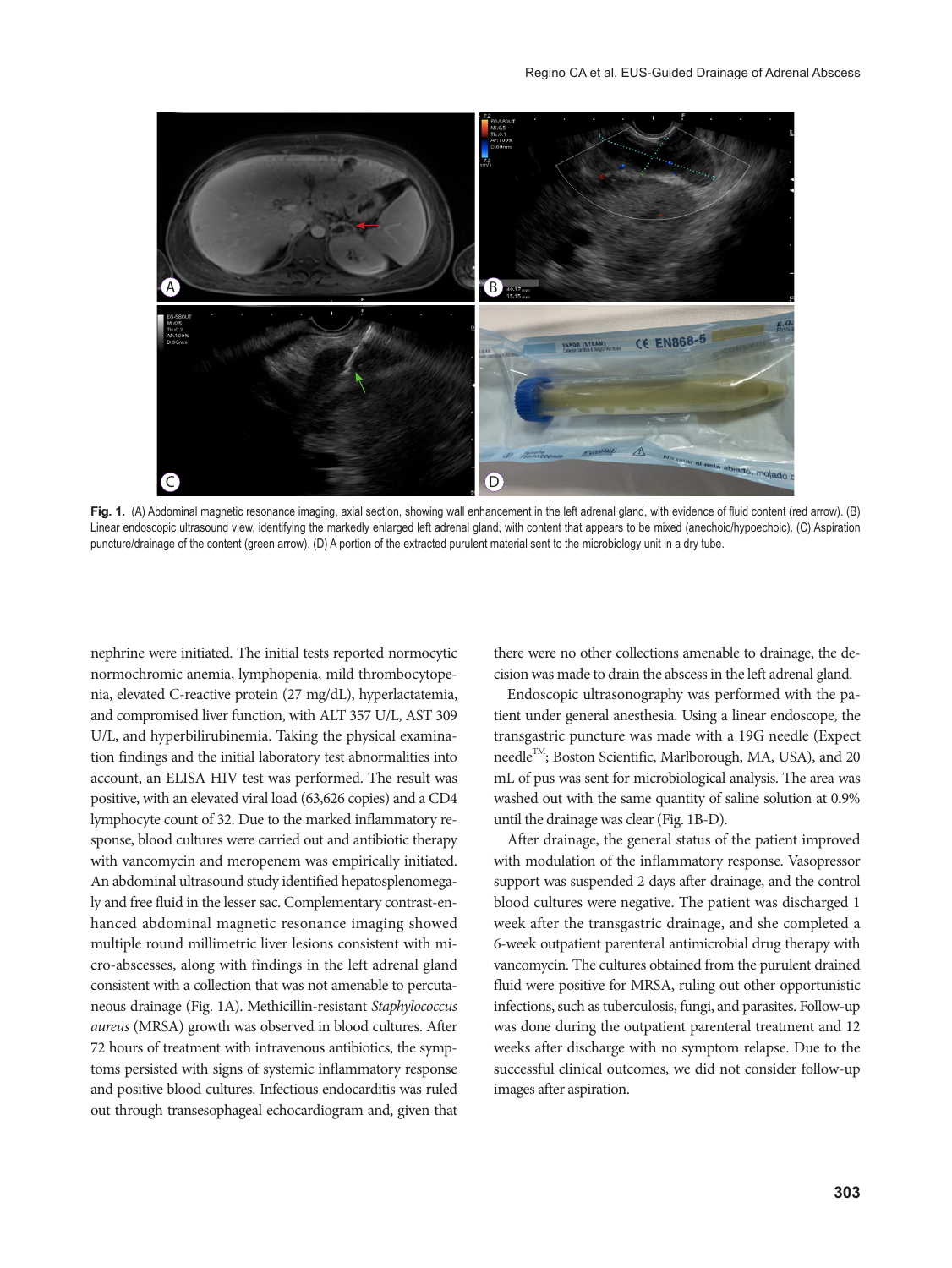

**Fig. 1.** (A) Abdominal magnetic resonance imaging, axial section, showing wall enhancement in the left adrenal gland, with evidence of fluid content (red arrow). (B) Linear endoscopic ultrasound view, identifying the markedly enlarged left adrenal gland, with content that appears to be mixed (anechoic/hypoechoic). (C) Aspiration puncture/drainage of the content (green arrow). (D) A portion of the extracted purulent material sent to the microbiology unit in a dry tube.

nephrine were initiated. The initial tests reported normocytic normochromic anemia, lymphopenia, mild thrombocytopenia, elevated C-reactive protein (27 mg/dL), hyperlactatemia, and compromised liver function, with ALT 357 U/L, AST 309 U/L, and hyperbilirubinemia. Taking the physical examination findings and the initial laboratory test abnormalities into account, an ELISA HIV test was performed. The result was positive, with an elevated viral load (63,626 copies) and a CD4 lymphocyte count of 32. Due to the marked inflammatory response, blood cultures were carried out and antibiotic therapy with vancomycin and meropenem was empirically initiated. An abdominal ultrasound study identified hepatosplenomegaly and free fluid in the lesser sac. Complementary contrast-enhanced abdominal magnetic resonance imaging showed multiple round millimetric liver lesions consistent with micro-abscesses, along with findings in the left adrenal gland consistent with a collection that was not amenable to percutaneous drainage (Fig. 1A). Methicillin-resistant *Staphylococcus aureus* (MRSA) growth was observed in blood cultures. After 72 hours of treatment with intravenous antibiotics, the symptoms persisted with signs of systemic inflammatory response and positive blood cultures. Infectious endocarditis was ruled out through transesophageal echocardiogram and, given that

there were no other collections amenable to drainage, the decision was made to drain the abscess in the left adrenal gland.

Endoscopic ultrasonography was performed with the patient under general anesthesia. Using a linear endoscope, the transgastric puncture was made with a 19G needle (Expect needle<sup>TM</sup>; Boston Scientific, Marlborough, MA, USA), and 20 mL of pus was sent for microbiological analysis. The area was washed out with the same quantity of saline solution at 0.9% until the drainage was clear (Fig. 1B-D).

After drainage, the general status of the patient improved with modulation of the inflammatory response. Vasopressor support was suspended 2 days after drainage, and the control blood cultures were negative. The patient was discharged 1 week after the transgastric drainage, and she completed a 6-week outpatient parenteral antimicrobial drug therapy with vancomycin. The cultures obtained from the purulent drained fluid were positive for MRSA, ruling out other opportunistic infections, such as tuberculosis, fungi, and parasites. Follow-up was done during the outpatient parenteral treatment and 12 weeks after discharge with no symptom relapse. Due to the successful clinical outcomes, we did not consider follow-up images after aspiration.